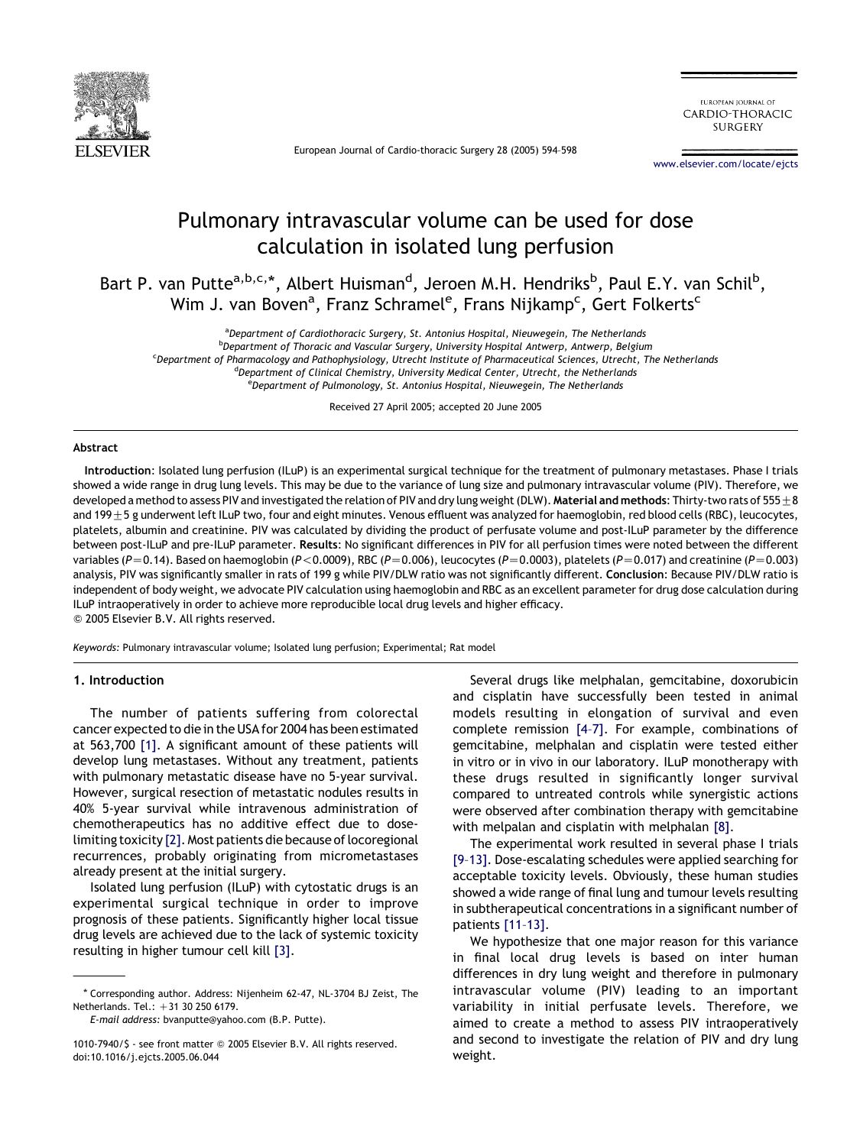

European Journal of Cardio-thoracic Surgery 28 (2005) 594–598

EUROPEAN IOURNAL OF CARDIO-THORACIC **SURGERY** 

[www.elsevier.com/locate/ejcts](http://www.elsevier.com/locate/ejcts)

# Pulmonary intravascular volume can be used for dose calculation in isolated lung perfusion

Bart P. van Putte<sup>a,b,c,</sup>\*, Albert Huisman<sup>d</sup>, Jeroen M.H. Hendriks<sup>b</sup>, Paul E.Y. van Schil<sup>b</sup>, Wim J. van Boven<sup>a</sup>, Franz Schramel<sup>e</sup>, Frans Nijkamp<sup>c</sup>, Gert Folkerts<sup>c</sup>

<sup>a</sup>Department of Cardiothoracic Surgery, St. Antonius Hospital, Nieuwegein, The Netherlands

<sup>b</sup>Department of Thoracic and Vascular Surgery, University Hospital Antwerp, Antwerp, Belgium

<sup>c</sup> Department of Pharmacology and Pathophysiology, Utrecht Institute of Pharmaceutical Sciences, Utrecht, The Netherlands

<sup>d</sup>Department of Clinical Chemistry, University Medical Center, Utrecht, the Netherlands

<sup>e</sup>Department of Pulmonology, St. Antonius Hospital, Nieuwegein, The Netherlands

Received 27 April 2005; accepted 20 June 2005

#### Abstract

Introduction: Isolated lung perfusion (ILuP) is an experimental surgical technique for the treatment of pulmonary metastases. Phase I trials showed a wide range in drug lung levels. This may be due to the variance of lung size and pulmonary intravascular volume (PIV). Therefore, we developed a method to assess PIV and investigated the relation of PIV and dry lung weight (DLW). Material and methods: Thirty-two rats of 555 + 8 and 199 $\pm$ 5 g underwent left ILuP two, four and eight minutes. Venous effluent was analyzed for haemoglobin, red blood cells (RBC), leucocytes, platelets, albumin and creatinine. PIV was calculated by dividing the product of perfusate volume and post-ILuP parameter by the difference between post-ILuP and pre-ILuP parameter. Results: No significant differences in PIV for all perfusion times were noted between the different variables (P=0.14). Based on haemoglobin (P<0.0009), RBC (P=0.006), leucocytes (P=0.0003), platelets (P=0.017) and creatinine (P=0.003) analysis, PIV was significantly smaller in rats of 199 g while PIV/DLW ratio was not significantly different. Conclusion: Because PIV/DLW ratio is independent of body weight, we advocate PIV calculation using haemoglobin and RBC as an excellent parameter for drug dose calculation during ILuP intraoperatively in order to achieve more reproducible local drug levels and higher efficacy. Q 2005 Elsevier B.V. All rights reserved.

Keywords: Pulmonary intravascular volume; Isolated lung perfusion; Experimental; Rat model

# 1. Introduction

The number of patients suffering from colorectal cancer expected to die in the USA for 2004 has been estimated at 563,700 [\[1\]](#page-4-0). A significant amount of these patients will develop lung metastases. Without any treatment, patients with pulmonary metastatic disease have no 5-year survival. However, surgical resection of metastatic nodules results in 40% 5-year survival while intravenous administration of chemotherapeutics has no additive effect due to dose-limiting toxicity [\[2\]](#page-4-0). Most patients die because of locoregional recurrences, probably originating from micrometastases already present at the initial surgery.

Isolated lung perfusion (ILuP) with cytostatic drugs is an experimental surgical technique in order to improve prognosis of these patients. Significantly higher local tissue drug levels are achieved due to the lack of systemic toxicity resulting in higher tumour cell kill [\[3\]](#page-4-0).

Several drugs like melphalan, gemcitabine, doxorubicin and cisplatin have successfully been tested in animal models resulting in elongation of survival and even complete remission [\[4–7\]](#page-4-0). For example, combinations of gemcitabine, melphalan and cisplatin were tested either in vitro or in vivo in our laboratory. ILuP monotherapy with these drugs resulted in significantly longer survival compared to untreated controls while synergistic actions were observed after combination therapy with gemcitabine with melpalan and cisplatin with melphalan [\[8\]](#page-4-0).

The experimental work resulted in several phase I trials [\[9–13\]](#page-4-0). Dose-escalating schedules were applied searching for acceptable toxicity levels. Obviously, these human studies showed a wide range of final lung and tumour levels resulting in subtherapeutical concentrations in a significant number of patients [\[11–13\]](#page-4-0).

We hypothesize that one major reason for this variance in final local drug levels is based on inter human differences in dry lung weight and therefore in pulmonary intravascular volume (PIV) leading to an important variability in initial perfusate levels. Therefore, we aimed to create a method to assess PIV intraoperatively and second to investigate the relation of PIV and dry lung weight.

<sup>\*</sup> Corresponding author. Address: Nijenheim 62-47, NL-3704 BJ Zeist, The Netherlands. Tel.: +31 30 250 6179.

E-mail address: bvanputte@yahoo.com (B.P. Putte).

<sup>1010-7940/\$ -</sup> see front matter Q 2005 Elsevier B.V. All rights reserved. doi:10.1016/j.ejcts.2005.06.044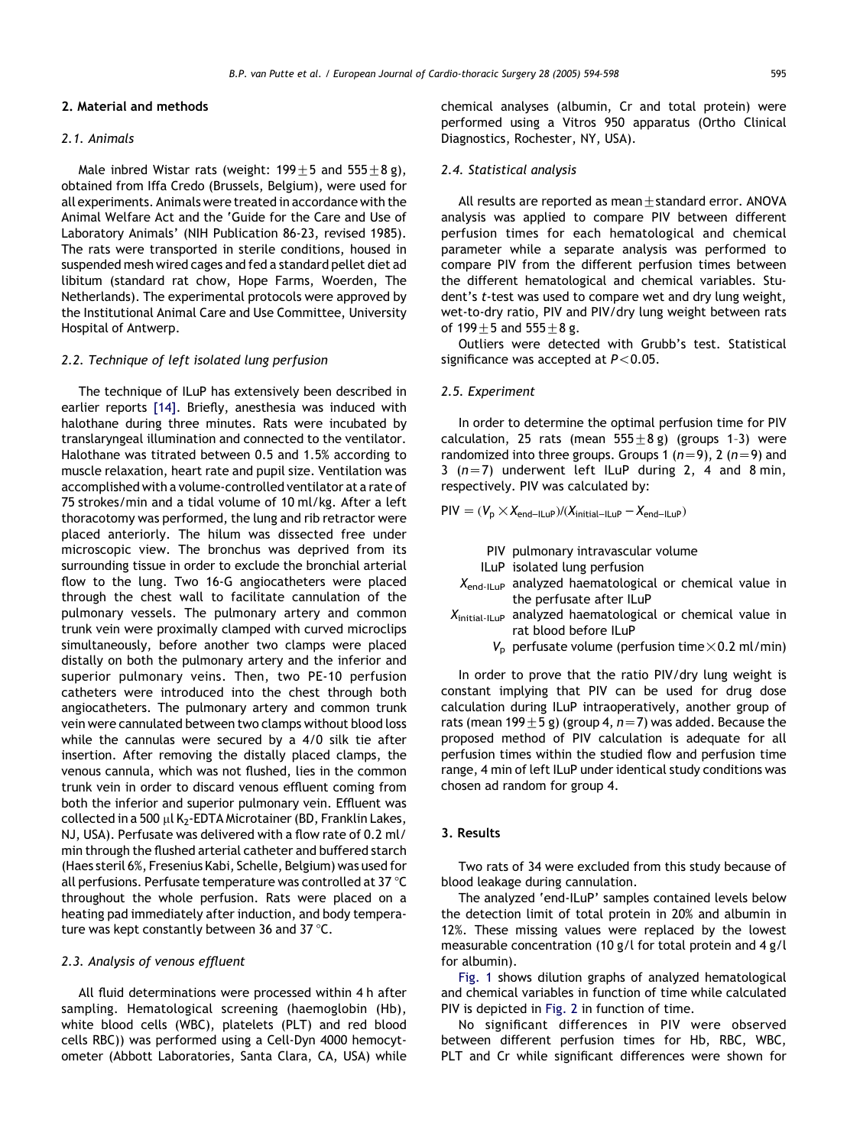# 2. Material and methods

# 2.1. Animals

Male inbred Wistar rats (weight:  $199 \pm 5$  and  $555 \pm 8$  g), obtained from Iffa Credo (Brussels, Belgium), were used for all experiments. Animals were treated in accordance with the Animal Welfare Act and the 'Guide for the Care and Use of Laboratory Animals' (NIH Publication 86-23, revised 1985). The rats were transported in sterile conditions, housed in suspended mesh wired cages and fed a standard pellet diet ad libitum (standard rat chow, Hope Farms, Woerden, The Netherlands). The experimental protocols were approved by the Institutional Animal Care and Use Committee, University Hospital of Antwerp.

#### 2.2. Technique of left isolated lung perfusion

The technique of ILuP has extensively been described in earlier reports [\[14\]](#page-4-0). Briefly, anesthesia was induced with halothane during three minutes. Rats were incubated by translaryngeal illumination and connected to the ventilator. Halothane was titrated between 0.5 and 1.5% according to muscle relaxation, heart rate and pupil size. Ventilation was accomplished with a volume-controlled ventilator at a rate of 75 strokes/min and a tidal volume of 10 ml/kg. After a left thoracotomy was performed, the lung and rib retractor were placed anteriorly. The hilum was dissected free under microscopic view. The bronchus was deprived from its surrounding tissue in order to exclude the bronchial arterial flow to the lung. Two 16-G angiocatheters were placed through the chest wall to facilitate cannulation of the pulmonary vessels. The pulmonary artery and common trunk vein were proximally clamped with curved microclips simultaneously, before another two clamps were placed distally on both the pulmonary artery and the inferior and superior pulmonary veins. Then, two PE-10 perfusion catheters were introduced into the chest through both angiocatheters. The pulmonary artery and common trunk vein were cannulated between two clamps without blood loss while the cannulas were secured by a 4/0 silk tie after insertion. After removing the distally placed clamps, the venous cannula, which was not flushed, lies in the common trunk vein in order to discard venous effluent coming from both the inferior and superior pulmonary vein. Effluent was collected in a 500  $\mu$ l K<sub>2</sub>-EDTA Microtainer (BD, Franklin Lakes, NJ, USA). Perfusate was delivered with a flow rate of 0.2 ml/ min through the flushed arterial catheter and buffered starch (Haes steril 6%, Fresenius Kabi, Schelle, Belgium) was used for all perfusions. Perfusate temperature was controlled at 37 °C throughout the whole perfusion. Rats were placed on a heating pad immediately after induction, and body temperature was kept constantly between 36 and 37 $\degree$ C.

#### 2.3. Analysis of venous effluent

All fluid determinations were processed within 4 h after sampling. Hematological screening (haemoglobin (Hb), white blood cells (WBC), platelets (PLT) and red blood cells RBC)) was performed using a Cell-Dyn 4000 hemocytometer (Abbott Laboratories, Santa Clara, CA, USA) while

chemical analyses (albumin, Cr and total protein) were performed using a Vitros 950 apparatus (Ortho Clinical Diagnostics, Rochester, NY, USA).

# 2.4. Statistical analysis

All results are reported as mean $\pm$ standard error. ANOVA analysis was applied to compare PIV between different perfusion times for each hematological and chemical parameter while a separate analysis was performed to compare PIV from the different perfusion times between the different hematological and chemical variables. Student's t-test was used to compare wet and dry lung weight, wet-to-dry ratio, PIV and PIV/dry lung weight between rats of  $199 + 5$  and  $555 + 8$  g.

Outliers were detected with Grubb's test. Statistical significance was accepted at  $P < 0.05$ .

# 2.5. Experiment

In order to determine the optimal perfusion time for PIV calculation, 25 rats (mean  $555+8$  g) (groups 1-3) were randomized into three groups. Groups 1 ( $n=9$ ), 2 ( $n=9$ ) and 3 ( $n=7$ ) underwent left ILuP during 2, 4 and 8 min, respectively. PIV was calculated by:

 $PIV = (V_p \times X_{end-ILUP})/(X_{initial-ILUP} - X_{end-ILUP})$ 

PIV pulmonary intravascular volume

- ILuP isolated lung perfusion
- $X_{\text{end-ILUP}}$  analyzed haematological or chemical value in the perfusate after ILuP
- $X_{initial-II\,\text{UP}}$  analyzed haematological or chemical value in rat blood before ILuP
	- $V_p$  perfusate volume (perfusion time  $\times$ 0.2 ml/min)

In order to prove that the ratio PIV/dry lung weight is constant implying that PIV can be used for drug dose calculation during ILuP intraoperatively, another group of rats (mean 199 $\pm$ 5 g) (group 4, n=7) was added. Because the proposed method of PIV calculation is adequate for all perfusion times within the studied flow and perfusion time range, 4 min of left ILuP under identical study conditions was chosen ad random for group 4.

#### 3. Results

Two rats of 34 were excluded from this study because of blood leakage during cannulation.

The analyzed 'end-ILuP' samples contained levels below the detection limit of total protein in 20% and albumin in 12%. These missing values were replaced by the lowest measurable concentration (10 g/l for total protein and 4 g/l for albumin).

[Fig. 1](#page-2-0) shows dilution graphs of analyzed hematological and chemical variables in function of time while calculated PIV is depicted in [Fig. 2](#page-2-0) in function of time.

No significant differences in PIV were observed between different perfusion times for Hb, RBC, WBC, PLT and Cr while significant differences were shown for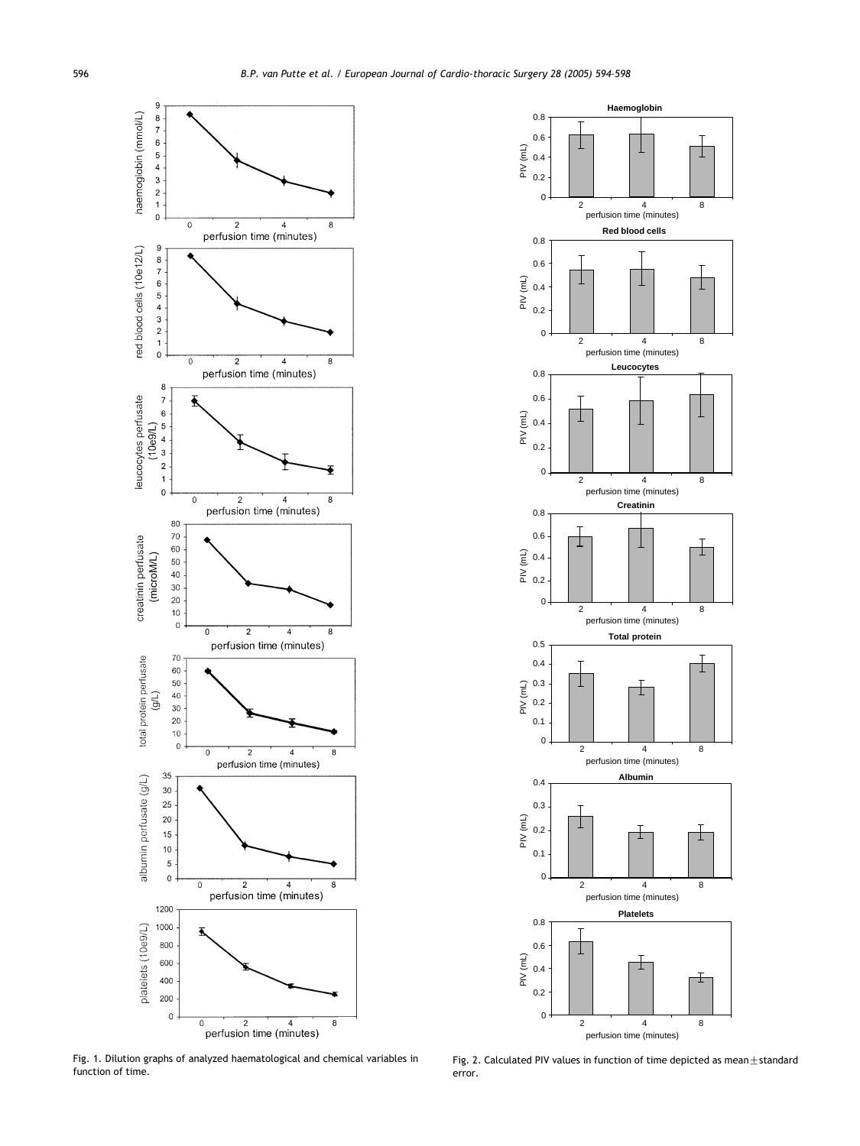<span id="page-2-0"></span>

Fig. 1. Dilution graphs of analyzed haematological and chemical variables in function of time.



Fig. 2. Calculated PIV values in function of time depicted as mean $\pm$ standard error.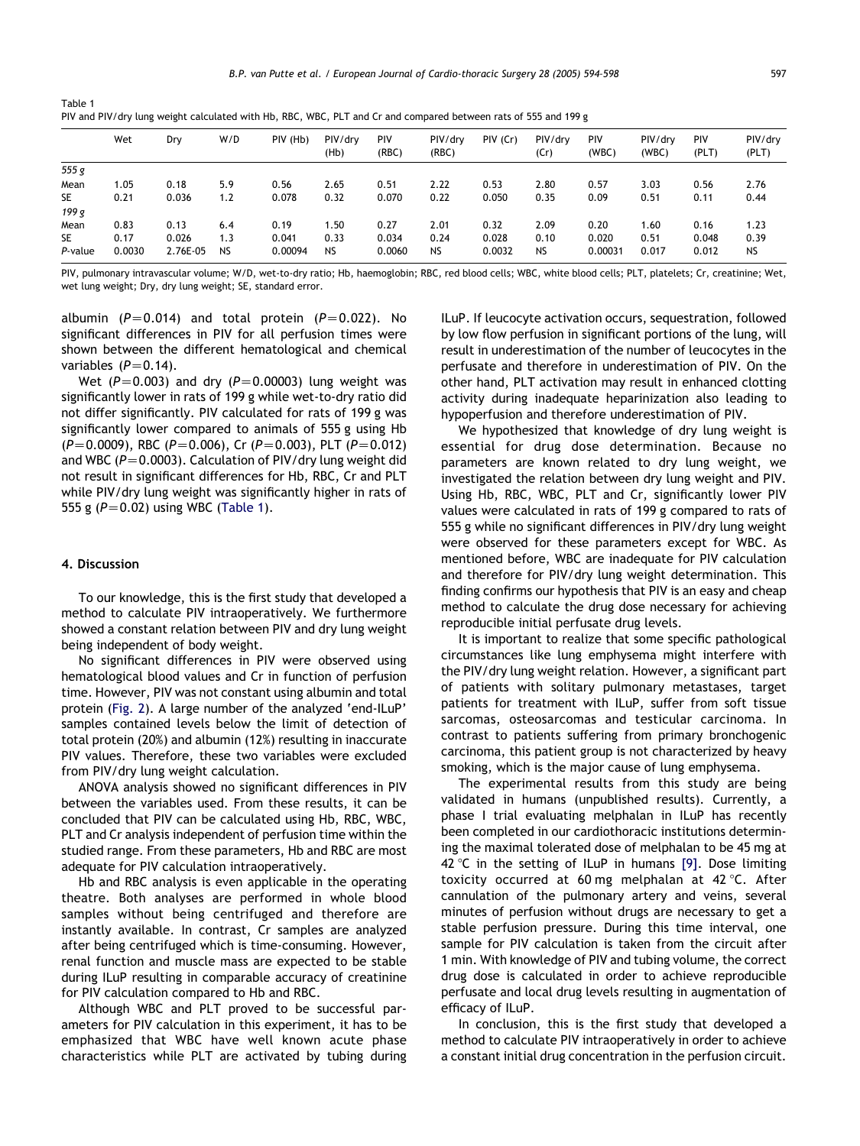| PIV and PIV/dry lung weight calculated with Hb, RBC, WBC, PLT and Cr and compared between rats of 555 and 199 g |      |       |     |          |                 |                     |                  |          |                 |                     |                  |              |              |
|-----------------------------------------------------------------------------------------------------------------|------|-------|-----|----------|-----------------|---------------------|------------------|----------|-----------------|---------------------|------------------|--------------|--------------|
|                                                                                                                 | Wet  | Dry   | W/D | PIV (Hb) | PIV/drv<br>(Hb) | <b>PIV</b><br>(RBC) | PIV/drv<br>(RBC) | PIV (Cr) | PIV/drv<br>(Cr) | <b>PIV</b><br>(WBC) | PIV/drv<br>(WBC) | PIV<br>(PLT) | PIV/<br>(PLT |
| 555 g                                                                                                           |      |       |     |          |                 |                     |                  |          |                 |                     |                  |              |              |
| Mean                                                                                                            | 1.05 | 0.18  | 5.9 | 0.56     | 2.65            | 0.51                | 2.22             | 0.53     | 2.80            | 0.57                | 3.03             | 0.56         | 2.76         |
| <b>SE</b>                                                                                                       | 0.21 | 0.036 | 1.2 | 0.078    | 0.32            | 0.070               | 0.22             | 0.050    | 0.35            | 0.09                | 0.51             | 0.11         | 0.44         |
| 199 g                                                                                                           |      |       |     |          |                 |                     |                  |          |                 |                     |                  |              |              |

Table 1

PIV, pulmonary intravascular volume; W/D, wet-to-dry ratio; Hb, haemoglobin; RBC, red blood cells; WBC, white blood cells; PLT, platelets; Cr, creatinine; Wet, wet lung weight; Dry, dry lung weight; SE, standard error.

Mean 0.83 0.13 6.4 0.19 1.50 0.27 2.01 0.32 2.09 0.20 1.60 0.16 1.23 SE 0.17 0.026 1.3 0.041 0.33 0.034 0.24 0.028 0.10 0.020 0.51 0.048 0.39 P-value 0.0030 2.76E-05 NS 0.00094 NS 0.0060 NS 0.0032 NS 0.00031 0.017 0.012 NS

albumin ( $P=0.014$ ) and total protein ( $P=0.022$ ). No significant differences in PIV for all perfusion times were shown between the different hematological and chemical variables  $(P=0.14)$ .

Wet ( $P=0.003$ ) and dry ( $P=0.00003$ ) lung weight was significantly lower in rats of 199 g while wet-to-dry ratio did not differ significantly. PIV calculated for rats of 199 g was significantly lower compared to animals of 555 g using Hb  $(P=0.0009)$ , RBC (P=0.006), Cr (P=0.003), PLT (P=0.012) and WBC ( $P=0.0003$ ). Calculation of PIV/dry lung weight did not result in significant differences for Hb, RBC, Cr and PLT while PIV/dry lung weight was significantly higher in rats of 555 g  $(P=0.02)$  using WBC (Table 1).

#### 4. Discussion

To our knowledge, this is the first study that developed a method to calculate PIV intraoperatively. We furthermore showed a constant relation between PIV and dry lung weight being independent of body weight.

No significant differences in PIV were observed using hematological blood values and Cr in function of perfusion time. However, PIV was not constant using albumin and total protein ([Fig. 2](#page-2-0)). A large number of the analyzed 'end-ILuP' samples contained levels below the limit of detection of total protein (20%) and albumin (12%) resulting in inaccurate PIV values. Therefore, these two variables were excluded from PIV/dry lung weight calculation.

ANOVA analysis showed no significant differences in PIV between the variables used. From these results, it can be concluded that PIV can be calculated using Hb, RBC, WBC, PLT and Cr analysis independent of perfusion time within the studied range. From these parameters, Hb and RBC are most adequate for PIV calculation intraoperatively.

Hb and RBC analysis is even applicable in the operating theatre. Both analyses are performed in whole blood samples without being centrifuged and therefore are instantly available. In contrast, Cr samples are analyzed after being centrifuged which is time-consuming. However, renal function and muscle mass are expected to be stable during ILuP resulting in comparable accuracy of creatinine for PIV calculation compared to Hb and RBC.

Although WBC and PLT proved to be successful parameters for PIV calculation in this experiment, it has to be emphasized that WBC have well known acute phase characteristics while PLT are activated by tubing during ILuP. If leucocyte activation occurs, sequestration, followed by low flow perfusion in significant portions of the lung, will result in underestimation of the number of leucocytes in the perfusate and therefore in underestimation of PIV. On the other hand, PLT activation may result in enhanced clotting activity during inadequate heparinization also leading to hypoperfusion and therefore underestimation of PIV.

We hypothesized that knowledge of dry lung weight is essential for drug dose determination. Because no parameters are known related to dry lung weight, we investigated the relation between dry lung weight and PIV. Using Hb, RBC, WBC, PLT and Cr, significantly lower PIV values were calculated in rats of 199 g compared to rats of 555 g while no significant differences in PIV/dry lung weight were observed for these parameters except for WBC. As mentioned before, WBC are inadequate for PIV calculation and therefore for PIV/dry lung weight determination. This finding confirms our hypothesis that PIV is an easy and cheap method to calculate the drug dose necessary for achieving reproducible initial perfusate drug levels.

It is important to realize that some specific pathological circumstances like lung emphysema might interfere with the PIV/dry lung weight relation. However, a significant part of patients with solitary pulmonary metastases, target patients for treatment with ILuP, suffer from soft tissue sarcomas, osteosarcomas and testicular carcinoma. In contrast to patients suffering from primary bronchogenic carcinoma, this patient group is not characterized by heavy smoking, which is the major cause of lung emphysema.

The experimental results from this study are being validated in humans (unpublished results). Currently, a phase I trial evaluating melphalan in ILuP has recently been completed in our cardiothoracic institutions determining the maximal tolerated dose of melphalan to be 45 mg at 42 °C in the setting of ILuP in humans  $[9]$ . Dose limiting toxicity occurred at 60 mg melphalan at 42 °C. After cannulation of the pulmonary artery and veins, several minutes of perfusion without drugs are necessary to get a stable perfusion pressure. During this time interval, one sample for PIV calculation is taken from the circuit after 1 min. With knowledge of PIV and tubing volume, the correct drug dose is calculated in order to achieve reproducible perfusate and local drug levels resulting in augmentation of efficacy of ILuP.

In conclusion, this is the first study that developed a method to calculate PIV intraoperatively in order to achieve a constant initial drug concentration in the perfusion circuit.

PIV/dry (PLT)